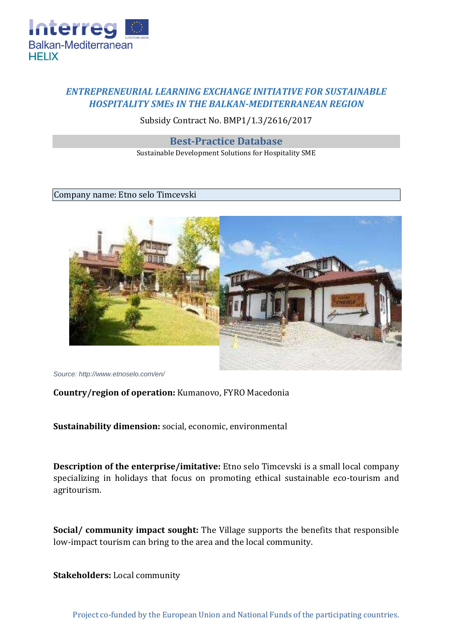

## *ENTREPRENEURIAL LEARNING EXCHANGE INITIATIVE FOR SUSTAINABLE HOSPITALITY SMEs IN THE BALKAN-MEDITERRANEAN REGION*

Subsidy Contract No. BMP1/1.3/2616/2017

**Best-Practice Database** 

Sustainable Development Solutions for Hospitality SME

## Company name: Etno selo Timcevski



*Source: http://www.etnoselo.com/en/*

## **Country/region of operation:** Kumanovo, FYRO Macedonia

**Sustainability dimension:** social, economic, environmental

**Description of the enterprise/imitative:** Etno selo Timcevski is a small local company specializing in holidays that focus on promoting ethical sustainable eco-tourism and agritourism.

**Social/ community impact sought:** The Village supports the benefits that responsible low-impact tourism can bring to the area and the local community.

**Stakeholders:** Local community

Project co-funded by the European Union and National Funds of the participating countries.